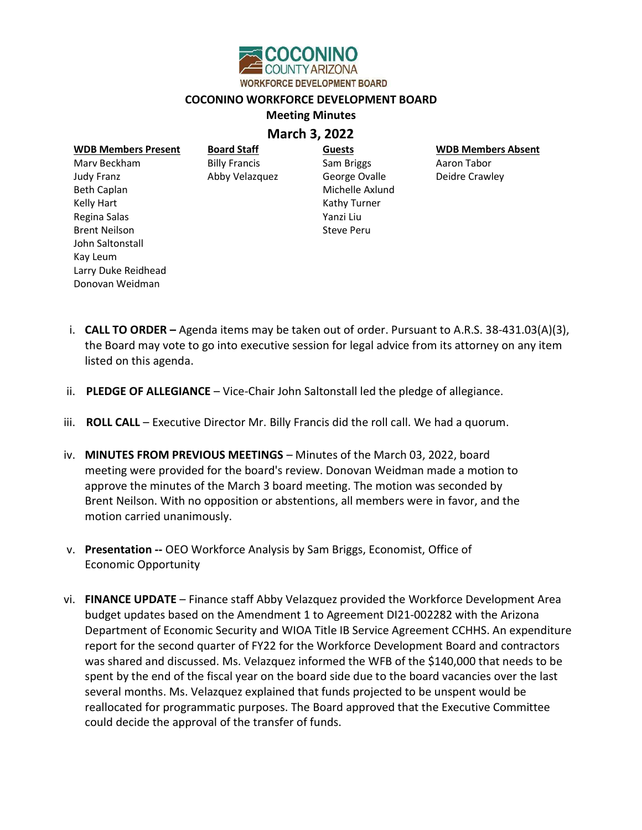

## COCONINO WORKFORCE DEVELOPMENT BOARD

## **Meeting Minutes**

## March 3, 2022

| <b>WDB Members Present</b> | <b>Board Staff</b>   | <b>Guests</b>     | <b>WDB Members Absent</b> |
|----------------------------|----------------------|-------------------|---------------------------|
| Mary Beckham               | <b>Billy Francis</b> | Sam Briggs        | Aaron Tabor               |
| Judy Franz                 | Abby Velazquez       | George Ovalle     | Deidre Crawley            |
| <b>Beth Caplan</b>         |                      | Michelle Axlund   |                           |
| Kelly Hart                 |                      | Kathy Turner      |                           |
| Regina Salas               |                      | Yanzi Liu         |                           |
| <b>Brent Neilson</b>       |                      | <b>Steve Peru</b> |                           |
| John Saltonstall           |                      |                   |                           |
| Kay Leum                   |                      |                   |                           |
| Larry Duke Reidhead        |                      |                   |                           |

- i. **CALL TO ORDER** Agenda items may be taken out of order. Pursuant to A.R.S. 38-431.03(A)(3), the Board may vote to go into executive session for legal advice from its attorney on any item listed on this agenda.
- ii. PLEDGE OF ALLEGIANCE Vice-Chair John Saltonstall led the pledge of allegiance.

Donovan Weidman

- iii. ROLL CALL Executive Director Mr. Billy Francis did the roll call. We had a quorum.
- iv. MINUTES FROM PREVIOUS MEETINGS Minutes of the March 03, 2022, board meeting were provided for the board's review. Donovan Weidman made a motion to approve the minutes of the March 3 board meeting. The motion was seconded by Brent Neilson. With no opposition or abstentions, all members were in favor, and the motion carried unanimously.
- v. Presentation -- OEO Workforce Analysis by Sam Briggs, Economist, Office of Economic Opportunity
- vi. FINANCE UPDATE Finance staff Abby Velazquez provided the Workforce Development Area budget updates based on the Amendment 1 to Agreement DI21-002282 with the Arizona Department of Economic Security and WIOA Title IB Service Agreement CCHHS. An expenditure report for the second quarter of FY22 for the Workforce Development Board and contractors was shared and discussed. Ms. Velazquez informed the WFB of the \$140,000 that needs to be spent by the end of the fiscal year on the board side due to the board vacancies over the last several months. Ms. Velazquez explained that funds projected to be unspent would be reallocated for programmatic purposes. The Board approved that the Executive Committee could decide the approval of the transfer of funds.